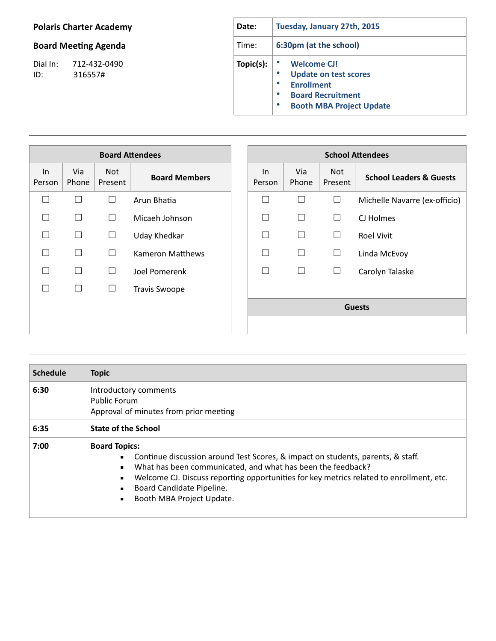## **Polaris Charter Academy**

## **Board Meeting Agenda**

Dial In: 712-432-0490 ID: 316557#

| Date:     | Tuesday, January 27th, 2015                                                                                                                                                                |  |  |  |  |
|-----------|--------------------------------------------------------------------------------------------------------------------------------------------------------------------------------------------|--|--|--|--|
| Time:     | 6:30pm (at the school)                                                                                                                                                                     |  |  |  |  |
| Topic(s): | <b>Welcome CJ!</b><br><b>Update on test scores</b><br>$\bullet$<br><b>Enrollment</b><br>$\bullet$<br>$\bullet$<br><b>Board Recruitment</b><br>$\bullet$<br><b>Booth MBA Project Update</b> |  |  |  |  |

| <b>Board Attendees</b> |              |                |                      |                 |              | <b>School Attendees</b> |                                    |
|------------------------|--------------|----------------|----------------------|-----------------|--------------|-------------------------|------------------------------------|
| ln<br>Person           | Via<br>Phone | Not<br>Present | <b>Board Members</b> | $\ln$<br>Person | Via<br>Phone | Not<br>Present          | <b>School Leaders &amp; Guests</b> |
|                        | П            | $\Box$         | Arun Bhatia          | Г               | П            | $\Box$                  | Michelle Navarre (ex-officio)      |
|                        | $\Box$       | $\Box$         | Micaeh Johnson       | П               | П            | $\Box$                  | CJ Holmes                          |
|                        | $\Box$       | $\Box$         | <b>Uday Khedkar</b>  | П               | $\Box$       | $\Box$                  | <b>Roel Vivit</b>                  |
|                        | П            | $\Box$         | Kameron Matthews     | ┑               | П            | $\Box$                  | Linda McEvoy                       |
|                        | П            | $\Box$         | Joel Pomerenk        | ┑               | П            | □                       | Carolyn Talaske                    |
|                        | $\Box$       | $\Box$         | <b>Travis Swoope</b> |                 |              |                         |                                    |
|                        |              |                |                      | <b>Guests</b>   |              |                         |                                    |
|                        |              |                |                      |                 |              |                         |                                    |

| <b>Schedule</b> | <b>Topic</b>                                                                                                                                                                                                                                                                                                                                  |  |  |  |
|-----------------|-----------------------------------------------------------------------------------------------------------------------------------------------------------------------------------------------------------------------------------------------------------------------------------------------------------------------------------------------|--|--|--|
| 6:30            | Introductory comments<br>Public Forum<br>Approval of minutes from prior meeting                                                                                                                                                                                                                                                               |  |  |  |
| 6:35            | <b>State of the School</b>                                                                                                                                                                                                                                                                                                                    |  |  |  |
| 7:00            | <b>Board Topics:</b><br>Continue discussion around Test Scores, & impact on students, parents, & staff.<br>What has been communicated, and what has been the feedback?<br>$\blacksquare$<br>Welcome CJ. Discuss reporting opportunities for key metrics related to enrollment, etc.<br>Board Candidate Pipeline.<br>Booth MBA Project Update. |  |  |  |